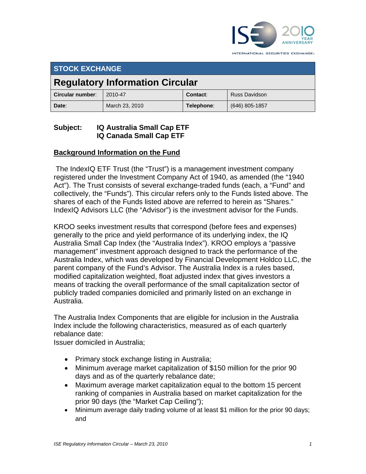

INTERNATIONAL SECURITIES EXCHANGE.

# **STOCK EXCHANGE Regulatory Information Circular Circular number:** 2010-47 **Contact:** Russ Davidson **Date**: **Narch 23, 2010 Telephone**: (646) 805-1857

# **Subject: IQ Australia Small Cap ETF IQ Canada Small Cap ETF**

# **Background Information on the Fund**

 The IndexIQ ETF Trust (the "Trust") is a management investment company registered under the Investment Company Act of 1940, as amended (the "1940 Act"). The Trust consists of several exchange-traded funds (each, a "Fund" and collectively, the "Funds"). This circular refers only to the Funds listed above. The shares of each of the Funds listed above are referred to herein as "Shares." IndexIQ Advisors LLC (the "Advisor") is the investment advisor for the Funds.

KROO seeks investment results that correspond (before fees and expenses) generally to the price and yield performance of its underlying index, the IQ Australia Small Cap Index (the "Australia Index"). KROO employs a "passive management" investment approach designed to track the performance of the Australia Index, which was developed by Financial Development Holdco LLC, the parent company of the Fund's Advisor. The Australia Index is a rules based, modified capitalization weighted, float adjusted index that gives investors a means of tracking the overall performance of the small capitalization sector of publicly traded companies domiciled and primarily listed on an exchange in Australia.

The Australia Index Components that are eligible for inclusion in the Australia Index include the following characteristics, measured as of each quarterly rebalance date:

Issuer domiciled in Australia;

- Primary stock exchange listing in Australia;
- Minimum average market capitalization of \$150 million for the prior 90 days and as of the quarterly rebalance date;
- Maximum average market capitalization equal to the bottom 15 percent ranking of companies in Australia based on market capitalization for the prior 90 days (the "Market Cap Ceiling");
- Minimum average daily trading volume of at least \$1 million for the prior 90 days; and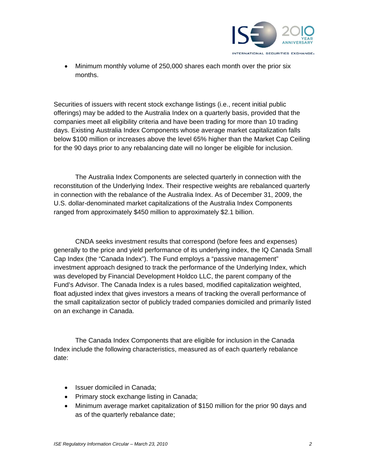

• Minimum monthly volume of 250,000 shares each month over the prior six months.

Securities of issuers with recent stock exchange listings (i.e., recent initial public offerings) may be added to the Australia Index on a quarterly basis, provided that the companies meet all eligibility criteria and have been trading for more than 10 trading days. Existing Australia Index Components whose average market capitalization falls below \$100 million or increases above the level 65% higher than the Market Cap Ceiling for the 90 days prior to any rebalancing date will no longer be eligible for inclusion.

The Australia Index Components are selected quarterly in connection with the reconstitution of the Underlying Index. Their respective weights are rebalanced quarterly in connection with the rebalance of the Australia Index. As of December 31, 2009, the U.S. dollar-denominated market capitalizations of the Australia Index Components ranged from approximately \$450 million to approximately \$2.1 billion.

CNDA seeks investment results that correspond (before fees and expenses) generally to the price and yield performance of its underlying index, the IQ Canada Small Cap Index (the "Canada Index"). The Fund employs a "passive management" investment approach designed to track the performance of the Underlying Index, which was developed by Financial Development Holdco LLC, the parent company of the Fund's Advisor. The Canada Index is a rules based, modified capitalization weighted, float adjusted index that gives investors a means of tracking the overall performance of the small capitalization sector of publicly traded companies domiciled and primarily listed on an exchange in Canada.

The Canada Index Components that are eligible for inclusion in the Canada Index include the following characteristics, measured as of each quarterly rebalance date:

- Issuer domiciled in Canada;
- Primary stock exchange listing in Canada;
- Minimum average market capitalization of \$150 million for the prior 90 days and as of the quarterly rebalance date;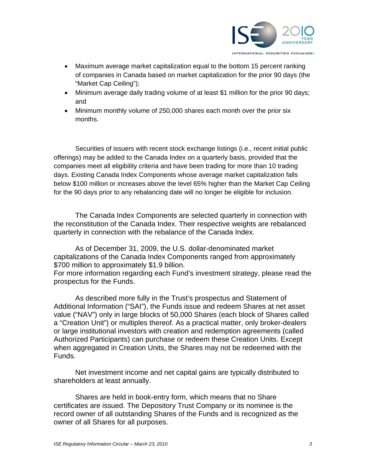

- Maximum average market capitalization equal to the bottom 15 percent ranking of companies in Canada based on market capitalization for the prior 90 days (the "Market Cap Ceiling");
- Minimum average daily trading volume of at least \$1 million for the prior 90 days; and
- Minimum monthly volume of 250,000 shares each month over the prior six months.

Securities of issuers with recent stock exchange listings (i.e., recent initial public offerings) may be added to the Canada Index on a quarterly basis, provided that the companies meet all eligibility criteria and have been trading for more than 10 trading days. Existing Canada Index Components whose average market capitalization falls below \$100 million or increases above the level 65% higher than the Market Cap Ceiling for the 90 days prior to any rebalancing date will no longer be eligible for inclusion.

The Canada Index Components are selected quarterly in connection with the reconstitution of the Canada Index. Their respective weights are rebalanced quarterly in connection with the rebalance of the Canada Index.

As of December 31, 2009, the U.S. dollar-denominated market capitalizations of the Canada Index Components ranged from approximately \$700 million to approximately \$1.9 billion. For more information regarding each Fund's investment strategy, please read the

As described more fully in the Trust's prospectus and Statement of Additional Information ("SAI"), the Funds issue and redeem Shares at net asset value ("NAV") only in large blocks of 50,000 Shares (each block of Shares called a "Creation Unit") or multiples thereof. As a practical matter, only broker-dealers or large institutional investors with creation and redemption agreements (called Authorized Participants) can purchase or redeem these Creation Units. Except when aggregated in Creation Units, the Shares may not be redeemed with the Funds.

Net investment income and net capital gains are typically distributed to shareholders at least annually.

Shares are held in book-entry form, which means that no Share certificates are issued. The Depository Trust Company or its nominee is the record owner of all outstanding Shares of the Funds and is recognized as the owner of all Shares for all purposes.

prospectus for the Funds.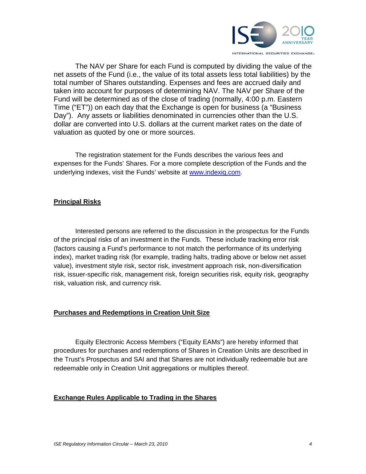

The NAV per Share for each Fund is computed by dividing the value of the net assets of the Fund (i.e., the value of its total assets less total liabilities) by the total number of Shares outstanding. Expenses and fees are accrued daily and taken into account for purposes of determining NAV. The NAV per Share of the Fund will be determined as of the close of trading (normally, 4:00 p.m. Eastern Time ("ET")) on each day that the Exchange is open for business (a "Business Day"). Any assets or liabilities denominated in currencies other than the U.S. dollar are converted into U.S. dollars at the current market rates on the date of valuation as quoted by one or more sources.

The registration statement for the Funds describes the various fees and expenses for the Funds' Shares. For a more complete description of the Funds and the underlying indexes, visit the Funds' website at www.indexiq.com.

## **Principal Risks**

Interested persons are referred to the discussion in the prospectus for the Funds of the principal risks of an investment in the Funds. These include tracking error risk (factors causing a Fund's performance to not match the performance of its underlying index), market trading risk (for example, trading halts, trading above or below net asset value), investment style risk, sector risk, investment approach risk, non-diversification risk, issuer-specific risk, management risk, foreign securities risk, equity risk, geography risk, valuation risk, and currency risk.

#### **Purchases and Redemptions in Creation Unit Size**

Equity Electronic Access Members ("Equity EAMs") are hereby informed that procedures for purchases and redemptions of Shares in Creation Units are described in the Trust's Prospectus and SAI and that Shares are not individually redeemable but are redeemable only in Creation Unit aggregations or multiples thereof.

## **Exchange Rules Applicable to Trading in the Shares**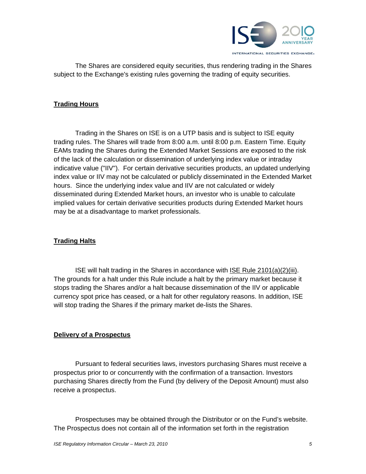

The Shares are considered equity securities, thus rendering trading in the Shares subject to the Exchange's existing rules governing the trading of equity securities.

#### **Trading Hours**

Trading in the Shares on ISE is on a UTP basis and is subject to ISE equity trading rules. The Shares will trade from 8:00 a.m. until 8:00 p.m. Eastern Time. Equity EAMs trading the Shares during the Extended Market Sessions are exposed to the risk of the lack of the calculation or dissemination of underlying index value or intraday indicative value ("IIV"). For certain derivative securities products, an updated underlying index value or IIV may not be calculated or publicly disseminated in the Extended Market hours. Since the underlying index value and IIV are not calculated or widely disseminated during Extended Market hours, an investor who is unable to calculate implied values for certain derivative securities products during Extended Market hours may be at a disadvantage to market professionals.

#### **Trading Halts**

ISE will halt trading in the Shares in accordance with ISE Rule 2101(a)(2)(iii). The grounds for a halt under this Rule include a halt by the primary market because it stops trading the Shares and/or a halt because dissemination of the IIV or applicable currency spot price has ceased, or a halt for other regulatory reasons. In addition, ISE will stop trading the Shares if the primary market de-lists the Shares.

#### **Delivery of a Prospectus**

Pursuant to federal securities laws, investors purchasing Shares must receive a prospectus prior to or concurrently with the confirmation of a transaction. Investors purchasing Shares directly from the Fund (by delivery of the Deposit Amount) must also receive a prospectus.

Prospectuses may be obtained through the Distributor or on the Fund's website. The Prospectus does not contain all of the information set forth in the registration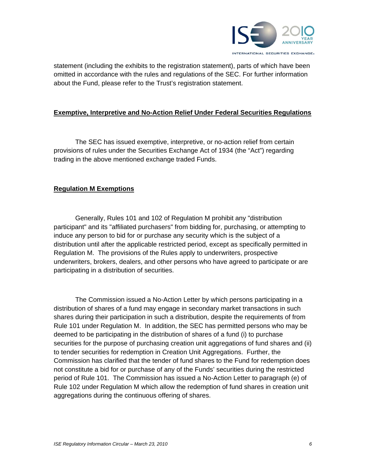

statement (including the exhibits to the registration statement), parts of which have been omitted in accordance with the rules and regulations of the SEC. For further information about the Fund, please refer to the Trust's registration statement.

#### **Exemptive, Interpretive and No-Action Relief Under Federal Securities Regulations**

The SEC has issued exemptive, interpretive, or no-action relief from certain provisions of rules under the Securities Exchange Act of 1934 (the "Act") regarding trading in the above mentioned exchange traded Funds.

## **Regulation M Exemptions**

Generally, Rules 101 and 102 of Regulation M prohibit any "distribution participant" and its "affiliated purchasers" from bidding for, purchasing, or attempting to induce any person to bid for or purchase any security which is the subject of a distribution until after the applicable restricted period, except as specifically permitted in Regulation M. The provisions of the Rules apply to underwriters, prospective underwriters, brokers, dealers, and other persons who have agreed to participate or are participating in a distribution of securities.

The Commission issued a No-Action Letter by which persons participating in a distribution of shares of a fund may engage in secondary market transactions in such shares during their participation in such a distribution, despite the requirements of from Rule 101 under Regulation M. In addition, the SEC has permitted persons who may be deemed to be participating in the distribution of shares of a fund (i) to purchase securities for the purpose of purchasing creation unit aggregations of fund shares and (ii) to tender securities for redemption in Creation Unit Aggregations. Further, the Commission has clarified that the tender of fund shares to the Fund for redemption does not constitute a bid for or purchase of any of the Funds' securities during the restricted period of Rule 101. The Commission has issued a No-Action Letter to paragraph (e) of Rule 102 under Regulation M which allow the redemption of fund shares in creation unit aggregations during the continuous offering of shares.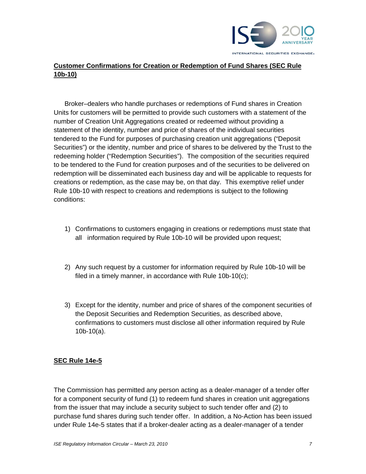

# **Customer Confirmations for Creation or Redemption of Fund Shares (SEC Rule 10b-10)**

Broker–dealers who handle purchases or redemptions of Fund shares in Creation Units for customers will be permitted to provide such customers with a statement of the number of Creation Unit Aggregations created or redeemed without providing a statement of the identity, number and price of shares of the individual securities tendered to the Fund for purposes of purchasing creation unit aggregations ("Deposit Securities") or the identity, number and price of shares to be delivered by the Trust to the redeeming holder ("Redemption Securities"). The composition of the securities required to be tendered to the Fund for creation purposes and of the securities to be delivered on redemption will be disseminated each business day and will be applicable to requests for creations or redemption, as the case may be, on that day. This exemptive relief under Rule 10b-10 with respect to creations and redemptions is subject to the following conditions:

- 1) Confirmations to customers engaging in creations or redemptions must state that all information required by Rule 10b-10 will be provided upon request;
- 2) Any such request by a customer for information required by Rule 10b-10 will be filed in a timely manner, in accordance with Rule 10b-10(c);
- 3) Except for the identity, number and price of shares of the component securities of the Deposit Securities and Redemption Securities, as described above, confirmations to customers must disclose all other information required by Rule 10b-10(a).

#### **SEC Rule 14e-5**

The Commission has permitted any person acting as a dealer-manager of a tender offer for a component security of fund (1) to redeem fund shares in creation unit aggregations from the issuer that may include a security subject to such tender offer and (2) to purchase fund shares during such tender offer. In addition, a No-Action has been issued under Rule 14e-5 states that if a broker-dealer acting as a dealer-manager of a tender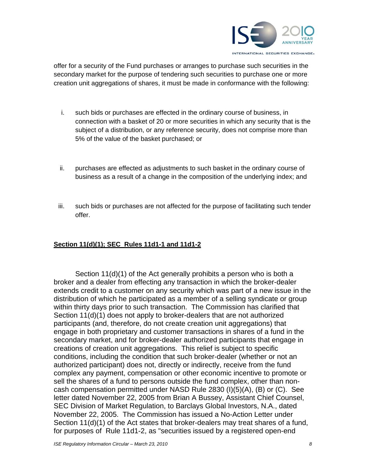

offer for a security of the Fund purchases or arranges to purchase such securities in the secondary market for the purpose of tendering such securities to purchase one or more creation unit aggregations of shares, it must be made in conformance with the following:

- i. such bids or purchases are effected in the ordinary course of business, in connection with a basket of 20 or more securities in which any security that is the subject of a distribution, or any reference security, does not comprise more than 5% of the value of the basket purchased; or
- ii. purchases are effected as adjustments to such basket in the ordinary course of business as a result of a change in the composition of the underlying index; and
- iii. such bids or purchases are not affected for the purpose of facilitating such tender offer.

## **Section 11(d)(1); SEC Rules 11d1-1 and 11d1-2**

Section 11(d)(1) of the Act generally prohibits a person who is both a broker and a dealer from effecting any transaction in which the broker-dealer extends credit to a customer on any security which was part of a new issue in the distribution of which he participated as a member of a selling syndicate or group within thirty days prior to such transaction. The Commission has clarified that Section 11(d)(1) does not apply to broker-dealers that are not authorized participants (and, therefore, do not create creation unit aggregations) that engage in both proprietary and customer transactions in shares of a fund in the secondary market, and for broker-dealer authorized participants that engage in creations of creation unit aggregations. This relief is subject to specific conditions, including the condition that such broker-dealer (whether or not an authorized participant) does not, directly or indirectly, receive from the fund complex any payment, compensation or other economic incentive to promote or sell the shares of a fund to persons outside the fund complex, other than noncash compensation permitted under NASD Rule 2830 (I)(5)(A), (B) or (C). See letter dated November 22, 2005 from Brian A Bussey, Assistant Chief Counsel, SEC Division of Market Regulation, to Barclays Global Investors, N.A., dated November 22, 2005. The Commission has issued a No-Action Letter under Section 11(d)(1) of the Act states that broker-dealers may treat shares of a fund, for purposes of Rule 11d1-2, as "securities issued by a registered open-end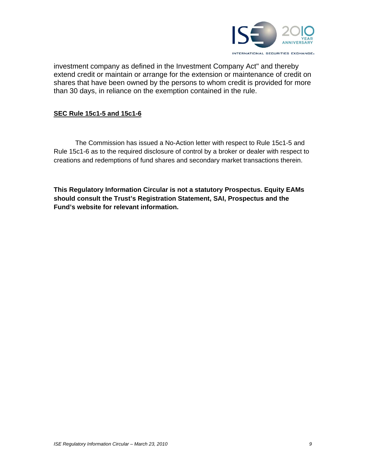

investment company as defined in the Investment Company Act" and thereby extend credit or maintain or arrange for the extension or maintenance of credit on shares that have been owned by the persons to whom credit is provided for more than 30 days, in reliance on the exemption contained in the rule.

## **SEC Rule 15c1-5 and 15c1-6**

The Commission has issued a No-Action letter with respect to Rule 15c1-5 and Rule 15c1-6 as to the required disclosure of control by a broker or dealer with respect to creations and redemptions of fund shares and secondary market transactions therein.

**This Regulatory Information Circular is not a statutory Prospectus. Equity EAMs should consult the Trust's Registration Statement, SAI, Prospectus and the Fund's website for relevant information.**